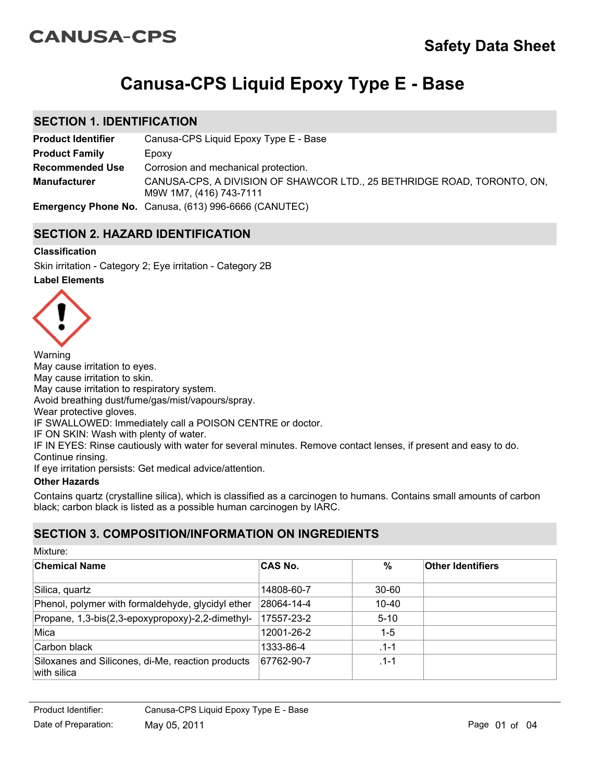# **CANUSA-CPS**

# **Canusa-CPS Liquid Epoxy Type E - Base**

### **SECTION 1. IDENTIFICATION**

| <b>Product Identifier</b> | Canusa-CPS Liquid Epoxy Type E - Base                                                              |
|---------------------------|----------------------------------------------------------------------------------------------------|
| <b>Product Family</b>     | Epoxy                                                                                              |
| <b>Recommended Use</b>    | Corrosion and mechanical protection.                                                               |
| <b>Manufacturer</b>       | CANUSA-CPS, A DIVISION OF SHAWCOR LTD., 25 BETHRIDGE ROAD, TORONTO, ON,<br>M9W 1M7, (416) 743-7111 |
|                           | <b>Emergency Phone No.</b> Canusa, (613) 996-6666 (CANUTEC)                                        |

### **SECTION 2. HAZARD IDENTIFICATION**

### **Classification**

Skin irritation - Category 2; Eye irritation - Category 2B

### **Label Elements**



Warning May cause irritation to eyes. May cause irritation to skin. May cause irritation to respiratory system. Avoid breathing dust/fume/gas/mist/vapours/spray. Wear protective gloves. IF SWALLOWED: Immediately call a POISON CENTRE or doctor. IF ON SKIN: Wash with plenty of water. IF IN EYES: Rinse cautiously with water for several minutes. Remove contact lenses, if present and easy to do. Continue rinsing. If eye irritation persists: Get medical advice/attention.

### **Other Hazards**

Mixture:

Contains quartz (crystalline silica), which is classified as a carcinogen to humans. Contains small amounts of carbon black; carbon black is listed as a possible human carcinogen by IARC.

# **SECTION 3. COMPOSITION/INFORMATION ON INGREDIENTS**

| IVIIALUI <del>C</del> .                                          |                |           |                          |
|------------------------------------------------------------------|----------------|-----------|--------------------------|
| <b>Chemical Name</b>                                             | <b>CAS No.</b> | %         | <b>Other Identifiers</b> |
| Silica, quartz                                                   | 14808-60-7     | $30 - 60$ |                          |
| Phenol, polymer with formaldehyde, glycidyl ether                | 28064-14-4     | 10-40     |                          |
| Propane, 1,3-bis(2,3-epoxypropoxy)-2,2-dimethyl-                 | 17557-23-2     | $5 - 10$  |                          |
| Mica                                                             | 12001-26-2     | $1-5$     |                          |
| Carbon black                                                     | 1333-86-4      | $.1 - 1$  |                          |
| Siloxanes and Silicones, di-Me, reaction products<br>with silica | 67762-90-7     | $.1 - 1$  |                          |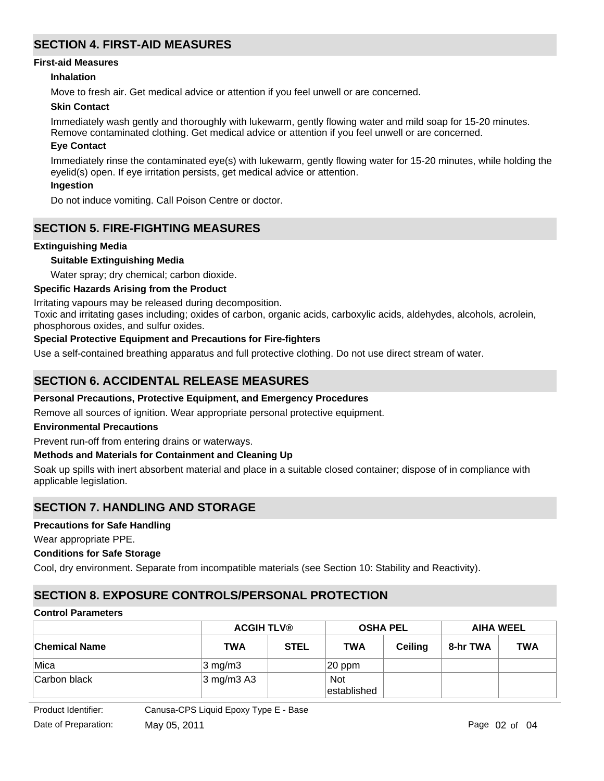# **SECTION 4. FIRST-AID MEASURES**

### **First-aid Measures**

### **Inhalation**

Move to fresh air. Get medical advice or attention if you feel unwell or are concerned.

### **Skin Contact**

Immediately wash gently and thoroughly with lukewarm, gently flowing water and mild soap for 15-20 minutes. Remove contaminated clothing. Get medical advice or attention if you feel unwell or are concerned.

#### **Eye Contact**

Immediately rinse the contaminated eye(s) with lukewarm, gently flowing water for 15-20 minutes, while holding the eyelid(s) open. If eye irritation persists, get medical advice or attention.

### **Ingestion**

Do not induce vomiting. Call Poison Centre or doctor.

### **SECTION 5. FIRE-FIGHTING MEASURES**

#### **Extinguishing Media**

### **Suitable Extinguishing Media**

Water spray; dry chemical; carbon dioxide.

### **Specific Hazards Arising from the Product**

Irritating vapours may be released during decomposition.

Toxic and irritating gases including; oxides of carbon, organic acids, carboxylic acids, aldehydes, alcohols, acrolein, phosphorous oxides, and sulfur oxides.

### **Special Protective Equipment and Precautions for Fire-fighters**

Use a self-contained breathing apparatus and full protective clothing. Do not use direct stream of water.

### **SECTION 6. ACCIDENTAL RELEASE MEASURES**

#### **Personal Precautions, Protective Equipment, and Emergency Procedures**

Remove all sources of ignition. Wear appropriate personal protective equipment.

#### **Environmental Precautions**

Prevent run-off from entering drains or waterways.

#### **Methods and Materials for Containment and Cleaning Up**

Soak up spills with inert absorbent material and place in a suitable closed container; dispose of in compliance with applicable legislation.

### **SECTION 7. HANDLING AND STORAGE**

### **Precautions for Safe Handling**

Wear appropriate PPE.

#### **Conditions for Safe Storage**

Cool, dry environment. Separate from incompatible materials (see Section 10: Stability and Reactivity).

# **SECTION 8. EXPOSURE CONTROLS/PERSONAL PROTECTION**

### **Control Parameters**

|                      | <b>ACGIH TLV®</b>     |             | <b>OSHA PEL</b>           |                | <b>AIHA WEEL</b> |            |
|----------------------|-----------------------|-------------|---------------------------|----------------|------------------|------------|
| <b>Chemical Name</b> | <b>TWA</b>            | <b>STEL</b> | <b>TWA</b>                | <b>Ceiling</b> | 8-hr TWA         | <b>TWA</b> |
| ∣Mica                | $3 \text{ mg/m}$      |             | $ 20$ ppm                 |                |                  |            |
| Carbon black         | $3 \text{ mg/m}$ 3 A3 |             | <b>Not</b><br>established |                |                  |            |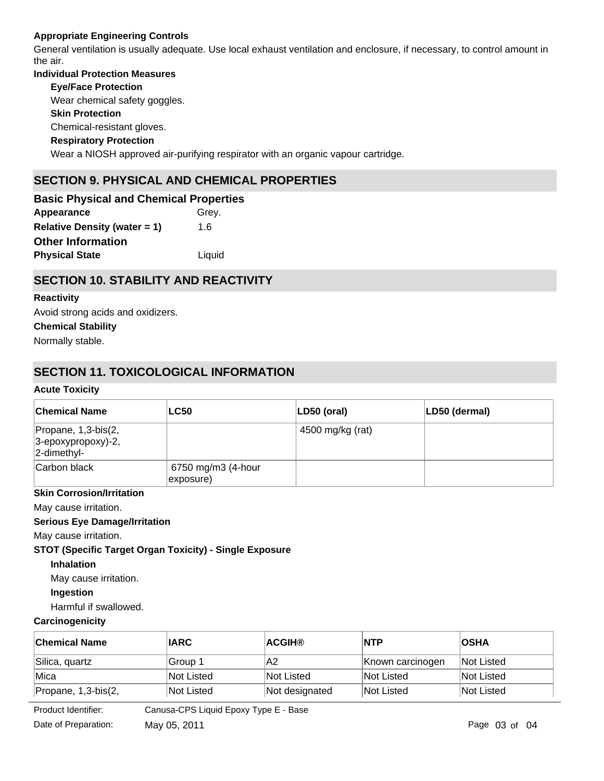### **Appropriate Engineering Controls**

General ventilation is usually adequate. Use local exhaust ventilation and enclosure, if necessary, to control amount in the air.

# **Individual Protection Measures Skin Protection Respiratory Protection Eye/Face Protection** Wear a NIOSH approved air-purifying respirator with an organic vapour cartridge. Chemical-resistant gloves. Wear chemical safety goggles. **SECTION 9. PHYSICAL AND CHEMICAL PROPERTIES**

**Appearance** Grey. **Relative Density (water = 1)** 1.6 **Basic Physical and Chemical Properties Physical State Liquid Other Information**

# **SECTION 10. STABILITY AND REACTIVITY**

### **Reactivity**

Avoid strong acids and oxidizers.

### **Chemical Stability**

Normally stable.

# **SECTION 11. TOXICOLOGICAL INFORMATION**

### **Acute Toxicity**

| <b>Chemical Name</b>                                             | <b>LC50</b>                     | $ LD50$ (oral)   | LD50 (dermal) |
|------------------------------------------------------------------|---------------------------------|------------------|---------------|
| Propane, 1,3-bis(2,<br>$ 3$ -epoxypropoxy)-2,<br>$ 2$ -dimethyl- |                                 | 4500 mg/kg (rat) |               |
| Carbon black                                                     | 6750 mg/m3 (4-hour<br>exposure) |                  |               |

### **Skin Corrosion/Irritation**

May cause irritation.

### **Serious Eye Damage/Irritation**

May cause irritation.

### **STOT (Specific Target Organ Toxicity) - Single Exposure**

### **Inhalation**

May cause irritation.

### **Ingestion**

Harmful if swallowed.

### **Carcinogenicity**

| ∣Chemical Name      | <b>IARC</b>        | <b>ACGIH®</b>  | <b>NTP</b>       | <b>OSHA</b>       |
|---------------------|--------------------|----------------|------------------|-------------------|
| Silica, quartz      | Group 1            | A2             | Known carcinogen | <b>Not Listed</b> |
| Mica                | Not Listed         | Not Listed     | Not Listed       | Not Listed        |
| Propane, 1,3-bis(2, | Not Listed         | Not designated | Not Listed       | Not Listed        |
| _ _ _ _ _ _         | --------<br>$\sim$ |                |                  |                   |

Product Iden

Product Identifier: Canusa-CPS Liquid Epoxy Type E - Base